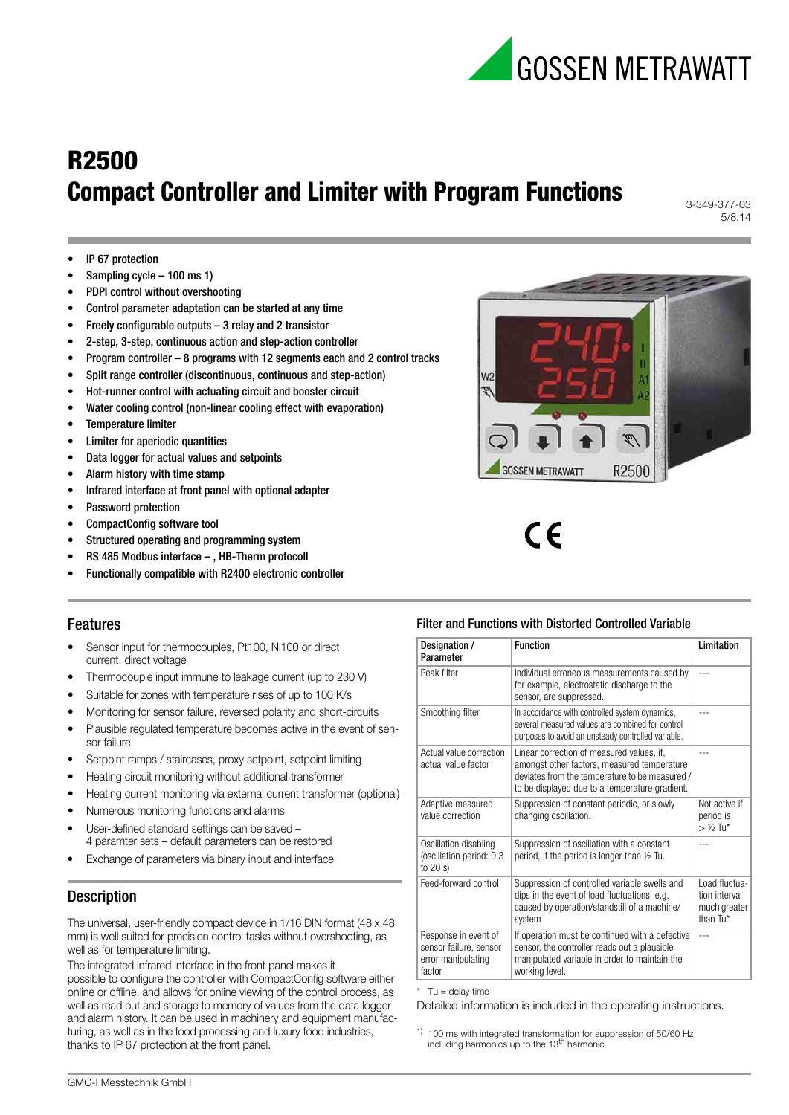

3-349-377-03 5/8.14

- IP 67 protection
- Sampling cycle 100 ms 1)
- PDPI control without overshooting
- Control parameter adaptation can be started at any time
- Freely configurable outputs  $-3$  relay and 2 transistor
- 2-step, 3-step, continuous action and step-action controller
- Program controller 8 programs with 12 segments each and 2 control tracks
- Split range controller (discontinuous, continuous and step-action)
- Hot-runner control with actuating circuit and booster circuit
- Water cooling control (non-linear cooling effect with evaporation)
- Temperature limiter
- Limiter for aperiodic quantities
- Data logger for actual values and setpoints
- Alarm history with time stamp
- Infrared interface at front panel with optional adapter
- Password protection
- CompactConfig software tool
- Structured operating and programming system
- RS 485 Modbus interface , HB-Therm protocoll
- Functionally compatible with R2400 electronic controller



 $\epsilon$ 

# Features

- Sensor input for thermocouples, Pt100, Ni100 or direct current, direct voltage
- Thermocouple input immune to leakage current (up to 230 V)
- Suitable for zones with temperature rises of up to 100 K/s
- Monitoring for sensor failure, reversed polarity and short-circuits
- Plausible regulated temperature becomes active in the event of sensor failure
- Setpoint ramps / staircases, proxy setpoint, setpoint limiting
- Heating circuit monitoring without additional transformer
- Heating current monitoring via external current transformer (optional)
- Numerous monitoring functions and alarms
- User-defined standard settings can be saved 4 paramter sets – default parameters can be restored
- Exchange of parameters via binary input and interface

# **Description**

The universal, user-friendly compact device in 1/16 DIN format (48 x 48 mm) is well suited for precision control tasks without overshooting, as well as for temperature limiting.

The integrated infrared interface in the front panel makes it possible to configure the controller with CompactConfig software either online or offline, and allows for online viewing of the control process, as well as read out and storage to memory of values from the data logger and alarm history. It can be used in machinery and equipment manufacturing, as well as in the food processing and luxury food industries, thanks to IP 67 protection at the front panel.

## Filter and Functions with Distorted Controlled Variable

| Designation /<br>Parameter                                                     | <b>Function</b>                                                                                                                                                                              | <b>Limitation</b>                                          |
|--------------------------------------------------------------------------------|----------------------------------------------------------------------------------------------------------------------------------------------------------------------------------------------|------------------------------------------------------------|
| Peak filter                                                                    | Individual erroneous measurements caused by,<br>for example, electrostatic discharge to the<br>sensor, are suppressed.                                                                       | $- - -$                                                    |
| Smoothing filter                                                               | In accordance with controlled system dynamics,<br>several measured values are combined for control<br>purposes to avoid an unsteady controlled variable.                                     |                                                            |
| Actual value correction.<br>actual value factor                                | Linear correction of measured values, if,<br>amongst other factors, measured temperature<br>deviates from the temperature to be measured /<br>to be displayed due to a temperature gradient. | $- - -$                                                    |
| Adaptive measured<br>value correction                                          | Suppression of constant periodic, or slowly<br>changing oscillation.                                                                                                                         | Not active if<br>period is<br>$>$ 1/2 Tu*                  |
| Oscillation disabling<br>(oscillation period: 0.3<br>to $20 s$                 | Suppression of oscillation with a constant<br>period, if the period is longer than 1/2 Tu.                                                                                                   |                                                            |
| Feed-forward control                                                           | Suppression of controlled variable swells and<br>dips in the event of load fluctuations, e.g.<br>caused by operation/standstill of a machine/<br>system                                      | Load fluctua-<br>tion interval<br>much greater<br>than Tu* |
| Response in event of<br>sensor failure, sensor<br>error manipulating<br>factor | If operation must be continued with a defective<br>sensor, the controller reads out a plausible<br>manipulated variable in order to maintain the<br>working level.                           |                                                            |

 $*$  Tu = delay time

Detailed information is included in the operating instructions.

 $1)$  100 ms with integrated transformation for suppression of 50/60 Hz including harmonics up to the 13th harmonic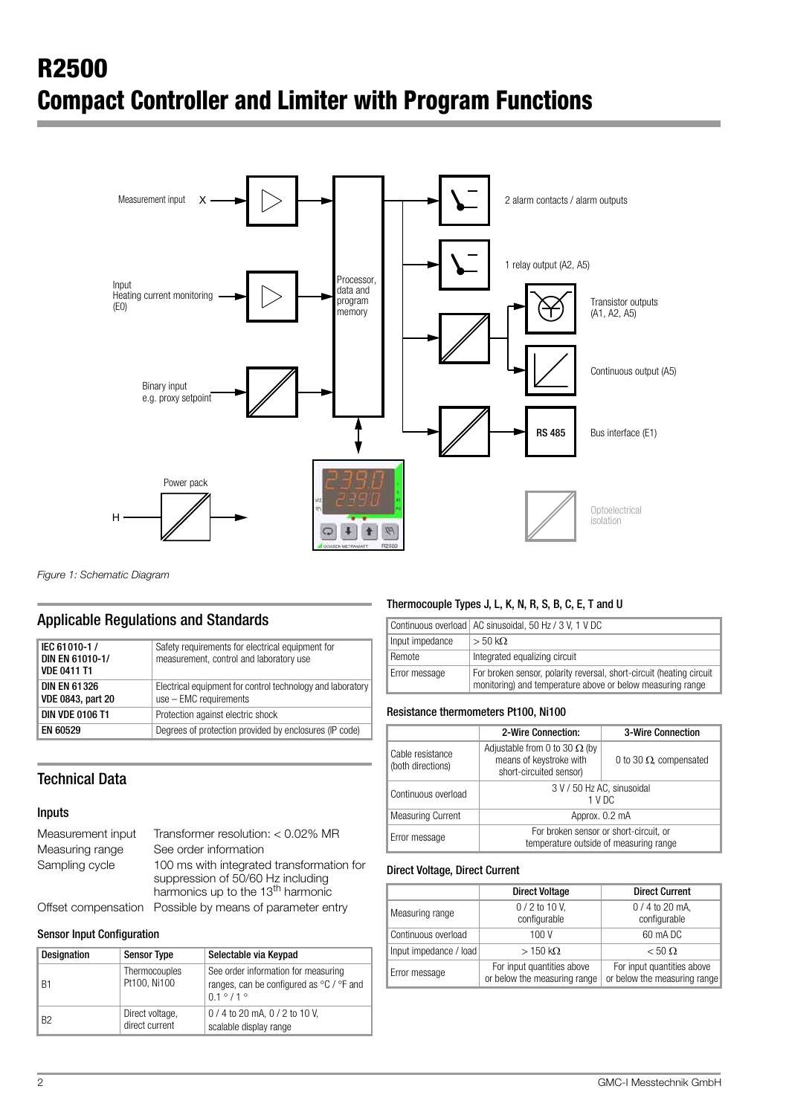

*Figure 1: Schematic Diagram* 

# Applicable Regulations and Standards

| IEC 61010-1 /<br>DIN EN 61010-1/<br><b>VDE 0411 T1</b> | Safety requirements for electrical equipment for<br>measurement, control and laboratory use |
|--------------------------------------------------------|---------------------------------------------------------------------------------------------|
| <b>DIN EN 61326</b><br><b>VDE 0843, part 20</b>        | Electrical equipment for control technology and laboratory<br>$use - EMC requirements$      |
| <b>DIN VDE 0106 T1</b>                                 | Protection against electric shock                                                           |
| <b>EN 60529</b>                                        | Degrees of protection provided by enclosures (IP code)                                      |

# Technical Data

#### Inputs

| Measurement input | Transformer resolution: $< 0.02\%$ MR                                                                                           |
|-------------------|---------------------------------------------------------------------------------------------------------------------------------|
| Measuring range   | See order information                                                                                                           |
| Sampling cycle    | 100 ms with integrated transformation for<br>suppression of 50/60 Hz including<br>harmonics up to the 13 <sup>th</sup> harmonic |
|                   | Offset compensation Possible by means of parameter entry                                                                        |

#### Sensor Input Configuration

| <b>Designation</b> | <b>Sensor Type</b>                | Selectable via Keypad                                                                                      |
|--------------------|-----------------------------------|------------------------------------------------------------------------------------------------------------|
| B1                 | Thermocouples<br>Pt100, Ni100     | See order information for measuring<br>ranges, can be configured as °C / °F and<br>$0.1^{\circ}/1^{\circ}$ |
| B <sub>2</sub>     | Direct voltage,<br>direct current | 0/4 to 20 mA, 0/2 to 10 V,<br>scalable display range                                                       |

# Thermocouple Types J, L, K, N, R, S, B, C, E, T and U

|                 | Continuous overload   AC sinusoidal, 50 Hz / 3 V, 1 V DC                                                                           |
|-----------------|------------------------------------------------------------------------------------------------------------------------------------|
| Input impedance | $>$ 50 kΩ                                                                                                                          |
| Remote          | Integrated equalizing circuit                                                                                                      |
| Error message   | For broken sensor, polarity reversal, short-circuit (heating circuit<br>monitoring) and temperature above or below measuring range |

#### Resistance thermometers Pt100, Ni100

|                                       | 2-Wire Connection:                                                                         | <b>3-Wire Connection</b>       |
|---------------------------------------|--------------------------------------------------------------------------------------------|--------------------------------|
| Cable resistance<br>(both directions) | Adjustable from 0 to 30 $\Omega$ (by<br>means of keystroke with<br>short-circuited sensor) | 0 to 30 $\Omega$ , compensated |
| Continuous overload                   | 3 V / 50 Hz AC, sinusoidal<br>1 V <sub>D</sub> C                                           |                                |
| <b>Measuring Current</b>              | Approx. 0.2 mA                                                                             |                                |
| Error message                         | For broken sensor or short-circuit, or<br>temperature outside of measuring range           |                                |

#### Direct Voltage, Direct Current

|                        | <b>Direct Voltage</b>                                      | <b>Direct Current</b>                                      |
|------------------------|------------------------------------------------------------|------------------------------------------------------------|
| Measuring range        | $0/2$ to 10 V,<br>configurable                             | $0/4$ to 20 mA,<br>configurable                            |
| Continuous overload    | 100 V                                                      | 60 mA DC                                                   |
| Input impedance / load | $>150 \text{ k}\Omega$                                     | $< 50 \Omega$                                              |
| Error message          | For input quantities above<br>or below the measuring range | For input quantities above<br>or below the measuring range |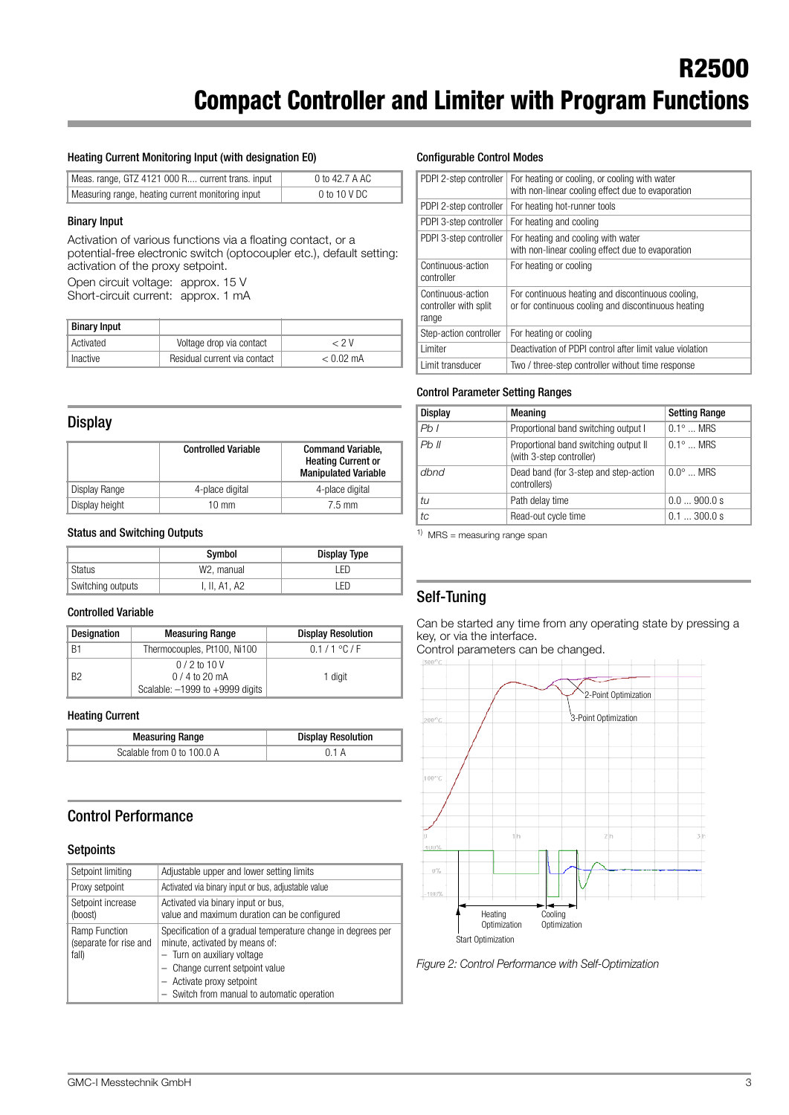#### Heating Current Monitoring Input (with designation E0)

| Meas. range, GTZ 4121 000 R current trans. input  | 0 to 42.7 A AC |
|---------------------------------------------------|----------------|
| Measuring range, heating current monitoring input | 0 to 10 V DC   |

#### Binary Input

Activation of various functions via a floating contact, or a potential-free electronic switch (optocoupler etc.), default setting: activation of the proxy setpoint.

Open circuit voltage: approx. 15 V Short-circuit current: approx. 1 mA

| Binary Input |                              |             |
|--------------|------------------------------|-------------|
| ∥ Activated  | Voltage drop via contact     | $\sim$ 2 V  |
| Inactive     | Residual current via contact | $< 0.02$ mA |

#### **Display**

|                | <b>Controlled Variable</b> | <b>Command Variable,</b><br><b>Heating Current or</b><br><b>Manipulated Variable</b> |
|----------------|----------------------------|--------------------------------------------------------------------------------------|
| Display Range  | 4-place digital            | 4-place digital                                                                      |
| Display height | 10 mm                      | $7.5 \text{ mm}$                                                                     |

#### Status and Switching Outputs

|                   | Symbol        | <b>Display Type</b> |
|-------------------|---------------|---------------------|
| ¶ Status          | W2. manual    | `FD.                |
| Switching outputs | I, II, A1, A2 | ED                  |

#### Controlled Variable

| <b>Designation</b> | <b>Measuring Range</b>                                                 | <b>Display Resolution</b> |
|--------------------|------------------------------------------------------------------------|---------------------------|
| B1                 | Thermocouples, Pt100, Ni100                                            | 0.1 / 1 °C / F            |
| <b>B2</b>          | $0/2$ to 10 V<br>$0/4$ to 20 mA<br>Scalable: $-1999$ to $+9999$ digits | 1 digit                   |

#### Heating Current

| <b>Measuring Range</b>     | <b>Display Resolution</b> |
|----------------------------|---------------------------|
| Scalable from 0 to 100.0 A |                           |

## Control Performance

#### **Setpoints**

| Setpoint limiting                                | Adjustable upper and lower setting limits                                                                                                                                                                                                    |
|--------------------------------------------------|----------------------------------------------------------------------------------------------------------------------------------------------------------------------------------------------------------------------------------------------|
| Proxy setpoint                                   | Activated via binary input or bus, adjustable value                                                                                                                                                                                          |
| Setpoint increase<br>(boost)                     | Activated via binary input or bus,<br>value and maximum duration can be configured                                                                                                                                                           |
| Ramp Function<br>(separate for rise and<br>fall) | Specification of a gradual temperature change in degrees per<br>minute, activated by means of:<br>- Turn on auxiliary voltage<br>- Change current setpoint value<br>- Activate proxy setpoint<br>- Switch from manual to automatic operation |

#### Configurable Control Modes

| PDPI 2-step controller                              | For heating or cooling, or cooling with water<br>with non-linear cooling effect due to evaporation       |
|-----------------------------------------------------|----------------------------------------------------------------------------------------------------------|
| PDPI 2-step controller                              | For heating hot-runner tools                                                                             |
| PDPI 3-step controller                              | For heating and cooling                                                                                  |
| PDPI 3-step controller                              | For heating and cooling with water<br>with non-linear cooling effect due to evaporation                  |
| Continuous-action<br>controller                     | For heating or cooling                                                                                   |
| Continuous-action<br>controller with split<br>range | For continuous heating and discontinuous cooling.<br>or for continuous cooling and discontinuous heating |
| Step-action controller                              | For heating or cooling                                                                                   |
| Limiter                                             | Deactivation of PDPI control after limit value violation                                                 |
| Limit transducer                                    | Two / three-step controller without time response                                                        |

#### Control Parameter Setting Ranges

| <b>Display</b> | Meaning                                                           | <b>Setting Range</b> |
|----------------|-------------------------------------------------------------------|----------------------|
| Pb1            | Proportional band switching output I                              | $0.1^{\circ}$ MRS    |
| Ph II          | Proportional band switching output II<br>(with 3-step controller) | $0.1^{\circ}$ MRS    |
| dbnd           | Dead band (for 3-step and step-action<br>controllers)             | $0.0^\circ$ MRS      |
| tи             | Path delay time                                                   | 0.0900.0 s           |
| tc             | Read-out cycle time                                               | 0.1300.0 s           |

 $1)$  MRS = measuring range span

# Self-Tuning

Can be started any time from any operating state by pressing a key, or via the interface.

Control parameters can be changed.

![](_page_2_Figure_26.jpeg)

*Figure 2: Control Performance with Self-Optimization*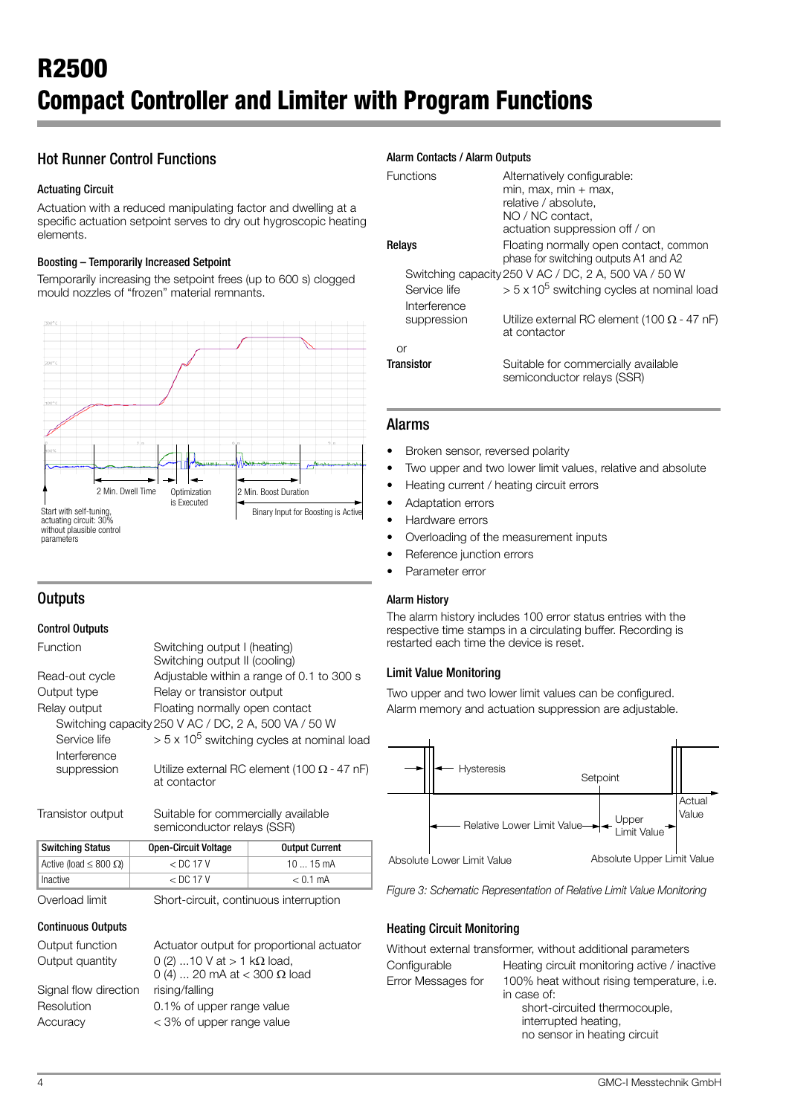# Hot Runner Control Functions

## Actuating Circuit

Actuation with a reduced manipulating factor and dwelling at a specific actuation setpoint serves to dry out hygroscopic heating elements.

## Boosting – Temporarily Increased Setpoint

Temporarily increasing the setpoint frees (up to 600 s) clogged mould nozzles of "frozen" material remnants.

![](_page_3_Figure_6.jpeg)

# **Outputs**

## Control Outputs

| Switching output I (heating)<br>Switching output II (cooling)      |
|--------------------------------------------------------------------|
| Adjustable within a range of 0.1 to 300 s                          |
| Relay or transistor output                                         |
| Floating normally open contact                                     |
| Switching capacity 250 V AC / DC, 2 A, 500 VA / 50 W               |
| $> 5 \times 10^5$ switching cycles at nominal load                 |
| Utilize external RC element (100 $\Omega$ - 47 nF)<br>at contactor |
|                                                                    |

Transistor output Suitable for commercially available semiconductor relays (SSR)

| ∥Switching Status                | <b>Open-Circuit Voltage</b> | <b>Output Current</b> |
|----------------------------------|-----------------------------|-----------------------|
| Active (load $\leq 800 \Omega$ ) | $<$ DC 17 V                 | 10  15 mA             |
| Inactive                         | $<$ DC 17 V                 | $< 0.1$ mA            |

Overload limit Short-circuit, continuous interruption

#### Continuous Outputs

| Output function       | Actuator output for proportional actuator |
|-----------------------|-------------------------------------------|
| Output quantity       | 0 (2) 10 V at $> 1$ kΩ load,              |
|                       | 0 (4)  20 mA at < 300 $\Omega$ load       |
| Signal flow direction | rising/falling                            |
| Resolution            | 0.1% of upper range value                 |
| Accuracy              | < 3% of upper range value                 |
|                       |                                           |

## Alarm Contacts / Alarm Outputs

| <b>Functions</b>             | Alternatively configurable:<br>$min, max, min + max,$<br>relative / absolute.<br>NO / NC contact.<br>actuation suppression off / on |  |  |
|------------------------------|-------------------------------------------------------------------------------------------------------------------------------------|--|--|
| Relays                       | Floating normally open contact, common<br>phase for switching outputs A1 and A2                                                     |  |  |
|                              | Switching capacity 250 V AC / DC, 2 A, 500 VA / 50 W                                                                                |  |  |
| Service life<br>Interference | $> 5 \times 10^5$ switching cycles at nominal load                                                                                  |  |  |
| suppression                  | Utilize external RC element (100 $\Omega$ - 47 nF)<br>at contactor                                                                  |  |  |
| or                           |                                                                                                                                     |  |  |
| <b>Transistor</b>            | Suitable for commercially available<br>semiconductor relays (SSR)                                                                   |  |  |

## Alarms

- Broken sensor, reversed polarity
- Two upper and two lower limit values, relative and absolute
- Heating current / heating circuit errors
- Adaptation errors
- Hardware errors
- Overloading of the measurement inputs
- Reference junction errors
- Parameter error

#### Alarm History

The alarm history includes 100 error status entries with the respective time stamps in a circulating buffer. Recording is restarted each time the device is reset.

## Limit Value Monitoring

Two upper and two lower limit values can be configured. Alarm memory and actuation suppression are adjustable.

![](_page_3_Figure_30.jpeg)

*Figure 3: Schematic Representation of Relative Limit Value Monitoring*

## Heating Circuit Monitoring

| Without external transformer, without additional parameters |                                                                                                                                                    |  |  |
|-------------------------------------------------------------|----------------------------------------------------------------------------------------------------------------------------------------------------|--|--|
| Configurable                                                | Heating circuit monitoring active / inactive                                                                                                       |  |  |
| Error Messages for                                          | 100% heat without rising temperature, i.e.<br>in case of:<br>short-circuited thermocouple,<br>interrupted heating,<br>no sensor in heating circuit |  |  |
|                                                             |                                                                                                                                                    |  |  |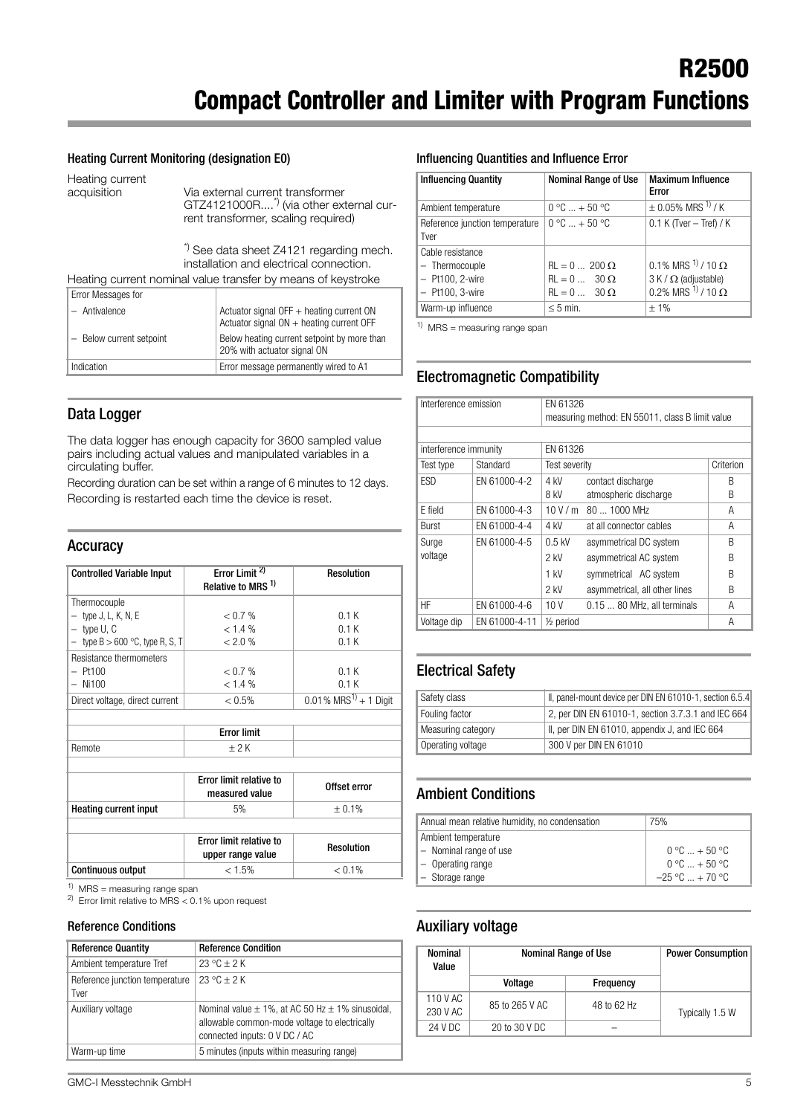#### Heating Current Monitoring (designation E0)

Heating current

acquisition Via external current transformer GTZ4121000R....\*) (via other external current transformer, scaling required)

> \*) See data sheet Z4121 regarding mech. installation and electrical connection.

Heating current nominal value transfer by means of keystroke

| Error Messages for       |                                                                                          |
|--------------------------|------------------------------------------------------------------------------------------|
| - Antivalence            | Actuator signal OFF $+$ heating current ON<br>Actuator signal $ON +$ heating current OFF |
| - Below current setpoint | Below heating current setpoint by more than<br>20% with actuator signal ON               |
| Indication               | Error message permanently wired to A1                                                    |

## Data Logger

The data logger has enough capacity for 3600 sampled value pairs including actual values and manipulated variables in a circulating buffer.

Recording duration can be set within a range of 6 minutes to 12 days. Recording is restarted each time the device is reset.

## Accuracy

| <b>Controlled Variable Input</b>  | Error Limit <sup>2)</sup><br>Relative to MRS <sup>1)</sup> | <b>Resolution</b>                    |
|-----------------------------------|------------------------------------------------------------|--------------------------------------|
| Thermocouple                      |                                                            |                                      |
| $-$ type J, L, K, N, E            | < 0.7 %                                                    | 0.1K                                 |
| $-$ type U, C                     | $< 1.4 \%$                                                 | 0.1K                                 |
| - type $B > 600$ °C, type R, S, T | $< 2.0\%$                                                  | 0.1K                                 |
| Resistance thermometers           |                                                            |                                      |
| $-$ Pt100                         | < 0.7 %                                                    | 0.1K                                 |
| $-$ Ni100                         | $< 1.4 \%$                                                 | 0.1K                                 |
| Direct voltage, direct current    | $< 0.5\%$                                                  | $0.01\%$ MRS <sup>1)</sup> + 1 Digit |

|        | <b>Error limit</b> |  |
|--------|--------------------|--|
| Remote |                    |  |
|        |                    |  |

|                              | <b>Error limit relative to</b><br>measured value | Offset error      |
|------------------------------|--------------------------------------------------|-------------------|
| <b>Heating current input</b> | 5%                                               | ± 0.1%            |
|                              |                                                  |                   |
|                              |                                                  |                   |
|                              | Error limit relative to<br>upper range value     | <b>Resolution</b> |

 $1)$  MRS = measuring range span

2) Error limit relative to MRS < 0.1% upon request

#### Reference Conditions

| <b>Reference Quantity</b>              | <b>Reference Condition</b>                                                                                                                 |
|----------------------------------------|--------------------------------------------------------------------------------------------------------------------------------------------|
| Ambient temperature Tref               | $23 °C + 2 K$                                                                                                                              |
| Reference junction temperature<br>Tver | $23 °C + 2 K$                                                                                                                              |
| Auxiliary voltage                      | Nominal value $\pm$ 1%, at AC 50 Hz $\pm$ 1% sinusoidal,<br>allowable common-mode voltage to electrically<br>connected inputs: 0 V DC / AC |
| Warm-up time                           | 5 minutes (inputs within measuring range)                                                                                                  |

#### Influencing Quantities and Influence Error

| <b>Influencing Quantity</b>                                                  | Nominal Range of Use                                                                                   | <b>Maximum Influence</b><br>Error                                                                   |
|------------------------------------------------------------------------------|--------------------------------------------------------------------------------------------------------|-----------------------------------------------------------------------------------------------------|
| Ambient temperature                                                          | $0 °C  + 50 °C$                                                                                        | $\pm$ 0.05% MRS $^{1}$ / K                                                                          |
| Reference junction temperature<br>Tver                                       | $0 °C  + 50 °C$                                                                                        | $0.1$ K (Tver - Tref) / K                                                                           |
| Cable resistance<br>- Thermocouple<br>$-$ Pt100, 2-wire<br>$-$ Pt100, 3-wire | $\text{RL} = 0 \dots 200 \Omega$<br>$\text{RL} = 0 \dots 30 \Omega$<br>$\text{RL} = 0 \dots 30 \Omega$ | $0.1\%$ MRS $^{1)}$ / 10 $\Omega$<br>$3 K / \Omega$ (adjustable)<br>0.2% MRS $^{1/7}$ / 10 $\Omega$ |
| Warm-up influence                                                            | $< 5$ min.                                                                                             | $+1%$                                                                                               |

 $1)$  MRS = measuring range span

# Electromagnetic Compatibility

| Interference emission |               | EN 61326                                        |                               |           |  |
|-----------------------|---------------|-------------------------------------------------|-------------------------------|-----------|--|
|                       |               | measuring method: EN 55011, class B limit value |                               |           |  |
|                       |               |                                                 |                               |           |  |
| interference immunity |               | EN 61326                                        |                               |           |  |
| Test type             | Standard      | Test severity                                   |                               | Criterion |  |
| <b>ESD</b>            | EN 61000-4-2  | 4 kV                                            | contact discharge             | R         |  |
|                       |               | 8 kV                                            | atmospheric discharge         | B         |  |
| E field               | EN 61000-4-3  | 10V/m                                           | 80  1000 MHz                  | Α         |  |
| Burst                 | EN 61000-4-4  | 4 kV                                            | at all connector cables       | Α         |  |
| Surge                 | EN 61000-4-5  | $0.5$ kV                                        | asymmetrical DC system        | R         |  |
| voltage               |               | 2 kV                                            | asymmetrical AC system        | B         |  |
|                       |               | $1$ kV                                          | symmetrical AC system         | R         |  |
|                       |               | $2$ kV                                          | asymmetrical, all other lines | B         |  |
| HF                    | EN 61000-4-6  | 10V                                             | 0.15  80 MHz, all terminals   | A         |  |
| Voltage dip           | EN 61000-4-11 | $\frac{1}{2}$ period                            |                               | Α         |  |

# Electrical Safety

| Safety class       | II, panel-mount device per DIN EN 61010-1, section 6.5.4 |
|--------------------|----------------------------------------------------------|
| Fouling factor     | 2, per DIN EN 61010-1, section 3.7.3.1 and IEC 664       |
| Measuring category | II, per DIN EN 61010, appendix J, and IEC 664            |
| Operating voltage  | 300 V per DIN EN 61010                                   |

# Ambient Conditions

| Annual mean relative humidity, no condensation | 75%                             |
|------------------------------------------------|---------------------------------|
| Ambient temperature                            |                                 |
| - Nominal range of use                         | $0^{\circ}$ C $ + 50^{\circ}$ C |
| $\vert$ - Operating range                      | $0 °C + 50 °C$                  |
| - Storage range                                | $-25 °C  + 70 °C$               |

## Auxiliary voltage

| Nominal<br>Value     | Nominal Range of Use | <b>Power Consumption</b> |                 |
|----------------------|----------------------|--------------------------|-----------------|
|                      | Voltage              | Frequency                |                 |
| 110 V AC<br>230 V AC | 85 to 265 V AC       | 48 to 62 Hz              | Typically 1.5 W |
| 24 V DC              | 20 to 30 V DC        |                          |                 |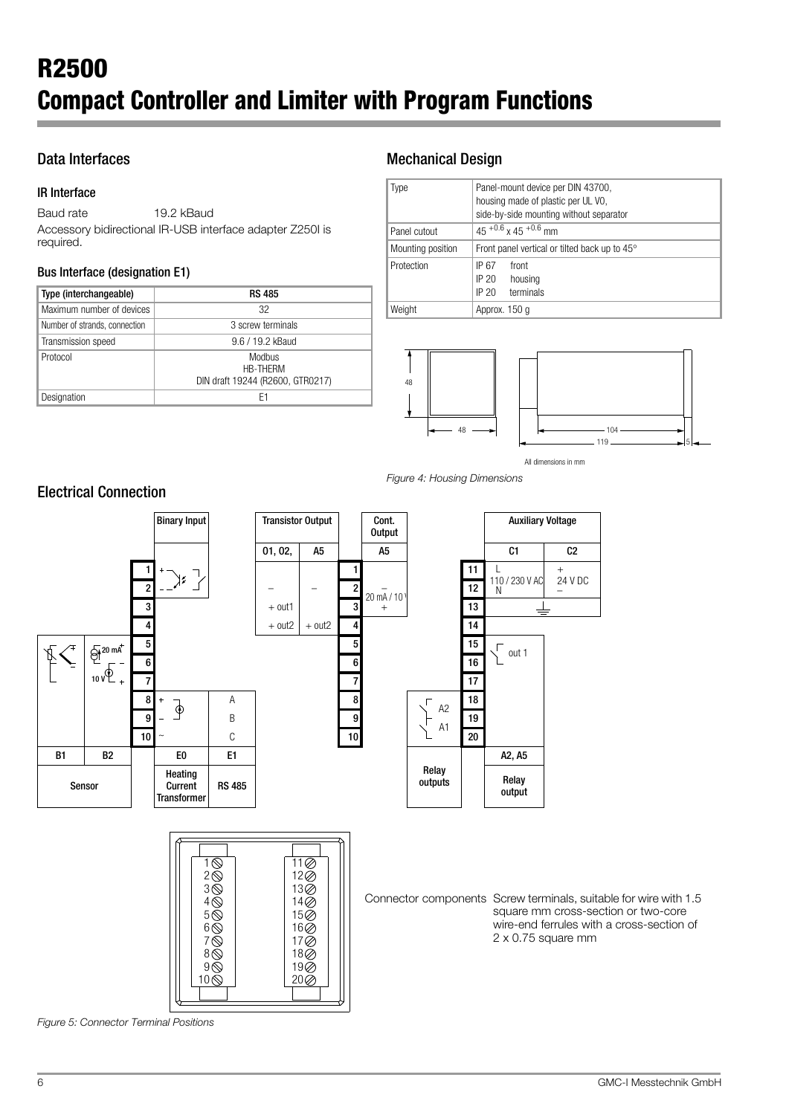# Data Interfaces

## IR Interface

Baud rate 19.2 kBaud Accessory bidirectional IR-USB interface adapter Z250I is required.

## Bus Interface (designation E1)

| Type (interchangeable)        | <b>RS 485</b>                                          |
|-------------------------------|--------------------------------------------------------|
| Maximum number of devices     | 32                                                     |
| Number of strands, connection | 3 screw terminals                                      |
| Transmission speed            | 9.6 / 19.2 kBaud                                       |
| Protocol                      | Modbus<br>HR-THFRM<br>DIN draft 19244 (R2600, GTR0217) |
| Designation                   | H1                                                     |

# Mechanical Design

| ype               | Panel-mount device per DIN 43700,                      |  |  |  |
|-------------------|--------------------------------------------------------|--|--|--|
|                   | housing made of plastic per UL VO,                     |  |  |  |
|                   | side-by-side mounting without separator                |  |  |  |
| Panel cutout      | $45^{+0.6}$ x 45 $^{+0.6}$ mm                          |  |  |  |
| Mounting position | Front panel vertical or tilted back up to $45^{\circ}$ |  |  |  |
| Protection        | front<br>IP 67                                         |  |  |  |
|                   | IP 20<br>housing                                       |  |  |  |
|                   | terminals<br>IP 20                                     |  |  |  |
| Weight            | Approx. 150 g                                          |  |  |  |

![](_page_5_Figure_8.jpeg)

All dimensions in mm

*Figure 4: Housing Dimensions*

![](_page_5_Figure_11.jpeg)

*Figure 5: Connector Terminal Positions*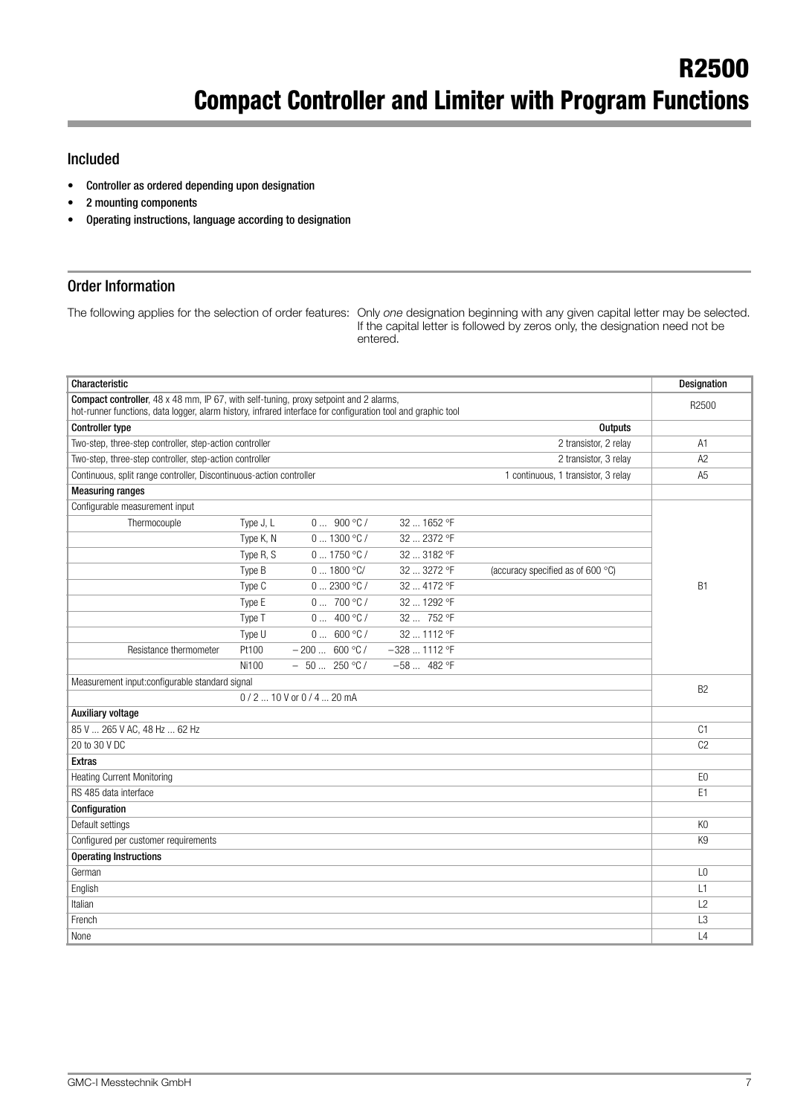# Included

- Controller as ordered depending upon designation
- 2 mounting components
- Operating instructions, language according to designation

# Order Information

The following applies for the selection of order features: Only *one* designation beginning with any given capital letter may be selected. If the capital letter is followed by zeros only, the designation need not be entered.

| Characteristic                                                                                                                                                                                        |           |                           |                |                                     | Designation    |
|-------------------------------------------------------------------------------------------------------------------------------------------------------------------------------------------------------|-----------|---------------------------|----------------|-------------------------------------|----------------|
| Compact controller, 48 x 48 mm, IP 67, with self-tuning, proxy setpoint and 2 alarms,<br>hot-runner functions, data logger, alarm history, infrared interface for configuration tool and graphic tool |           |                           |                |                                     | R2500          |
| <b>Controller type</b>                                                                                                                                                                                |           |                           |                | <b>Outputs</b>                      |                |
| Two-step, three-step controller, step-action controller                                                                                                                                               |           |                           |                | 2 transistor, 2 relay               | A <sub>1</sub> |
| Two-step, three-step controller, step-action controller                                                                                                                                               |           |                           |                | 2 transistor, 3 relay               | A <sub>2</sub> |
| Continuous, split range controller, Discontinuous-action controller                                                                                                                                   |           |                           |                | 1 continuous, 1 transistor, 3 relay | A <sub>5</sub> |
| <b>Measuring ranges</b>                                                                                                                                                                               |           |                           |                |                                     |                |
| Configurable measurement input                                                                                                                                                                        |           |                           |                |                                     |                |
| Thermocouple                                                                                                                                                                                          | Type J, L | 0900 °C/                  | 32  1652 °F    |                                     |                |
|                                                                                                                                                                                                       | Type K, N | 01300 °C/                 | 32  2372 °F    |                                     |                |
|                                                                                                                                                                                                       | Type R, S | 01750 °C/                 | 32  3182 °F    |                                     |                |
|                                                                                                                                                                                                       | Type B    | 01800 °C/                 | 32  3272 °F    | (accuracy specified as of 600 °C)   |                |
|                                                                                                                                                                                                       | Type C    | 02300 °C/                 | 32  4172 °F    |                                     | <b>B1</b>      |
|                                                                                                                                                                                                       | Type E    | 0700 °C/                  | 32  1292 °F    |                                     |                |
|                                                                                                                                                                                                       | Type T    | 0400 °C/                  | 32  752 °F     |                                     |                |
|                                                                                                                                                                                                       | Type U    | 0 600 °C/                 | 32  1112 °F    |                                     |                |
| Resistance thermometer                                                                                                                                                                                | Pt100     | $-200 600 °C/$            | $-328$ 1112 °F |                                     |                |
|                                                                                                                                                                                                       | Ni100     | $-50250 °C/$              | $-58$ 482 °F   |                                     |                |
| Measurement input:configurable standard signal                                                                                                                                                        |           |                           |                |                                     | B <sub>2</sub> |
|                                                                                                                                                                                                       |           | $0/2$ 10 V or $0/4$ 20 mA |                |                                     |                |
| Auxiliary voltage                                                                                                                                                                                     |           |                           |                |                                     |                |
| 85 V  265 V AC, 48 Hz  62 Hz                                                                                                                                                                          |           |                           |                |                                     | C <sub>1</sub> |
| 20 to 30 V DC                                                                                                                                                                                         |           |                           |                |                                     | C <sub>2</sub> |
| <b>Extras</b>                                                                                                                                                                                         |           |                           |                |                                     |                |
| <b>Heating Current Monitoring</b>                                                                                                                                                                     |           |                           |                |                                     | E <sub>0</sub> |
| RS 485 data interface                                                                                                                                                                                 |           |                           |                |                                     | E <sub>1</sub> |
| Configuration                                                                                                                                                                                         |           |                           |                |                                     |                |
| Default settings                                                                                                                                                                                      |           |                           |                |                                     | K <sub>0</sub> |
| Configured per customer requirements                                                                                                                                                                  |           |                           |                |                                     | K <sub>9</sub> |
| <b>Operating Instructions</b>                                                                                                                                                                         |           |                           |                |                                     |                |
| German                                                                                                                                                                                                |           |                           |                |                                     | L <sub>0</sub> |
| English                                                                                                                                                                                               |           |                           |                |                                     | L1             |
| Italian                                                                                                                                                                                               |           |                           |                |                                     | $\sqrt{2}$     |
| French                                                                                                                                                                                                |           |                           |                |                                     | L <sub>3</sub> |
| None                                                                                                                                                                                                  |           |                           |                |                                     | $\lfloor 4$    |